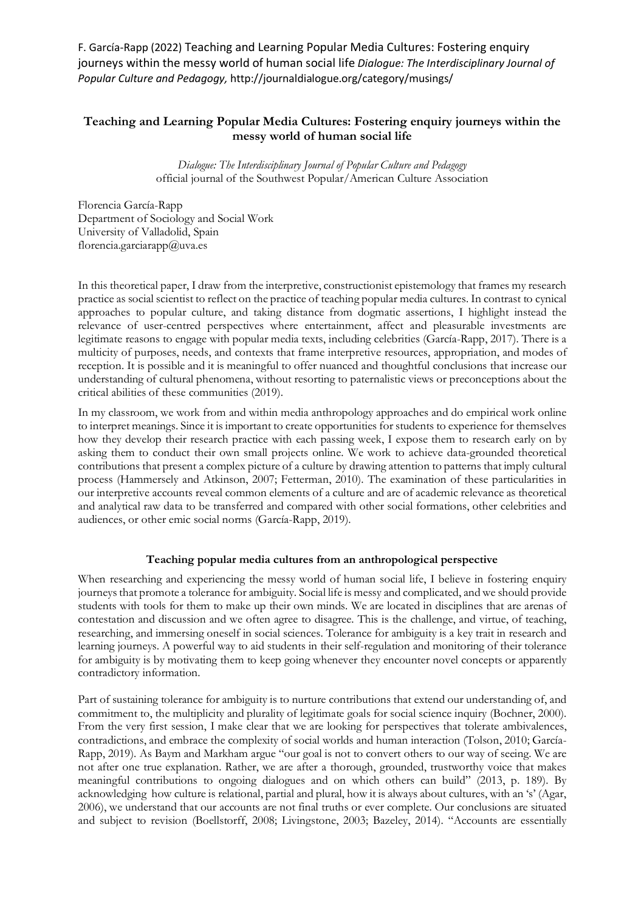F. García-Rapp (2022) Teaching and Learning Popular Media Cultures: Fostering enquiry journeys within the messy world of human social life *Dialogue: The Interdisciplinary Journal of Popular Culture and Pedagogy,* http://journaldialogue.org/category/musings/

## **Teaching and Learning Popular Media Cultures: Fostering enquiry journeys within the messy world of human social life**

*Dialogue: The Interdisciplinary Journal of Popular Culture and Pedagogy*  official journal of the Southwest Popular/American Culture Association

Florencia García-Rapp Department of Sociology and Social Work University of Valladolid, Spain florencia.garciarapp@uva.es

In this theoretical paper, I draw from the interpretive, constructionist epistemology that frames my research practice as social scientist to reflect on the practice of teaching popular media cultures. In contrast to cynical approaches to popular culture, and taking distance from dogmatic assertions, I highlight instead the relevance of user-centred perspectives where entertainment, affect and pleasurable investments are legitimate reasons to engage with popular media texts, including celebrities (García-Rapp, 2017). There is a multicity of purposes, needs, and contexts that frame interpretive resources, appropriation, and modes of reception. It is possible and it is meaningful to offer nuanced and thoughtful conclusions that increase our understanding of cultural phenomena, without resorting to paternalistic views or preconceptions about the critical abilities of these communities (2019).

In my classroom, we work from and within media anthropology approaches and do empirical work online to interpret meanings. Since it is important to create opportunities for students to experience for themselves how they develop their research practice with each passing week, I expose them to research early on by asking them to conduct their own small projects online. We work to achieve data-grounded theoretical contributions that present a complex picture of a culture by drawing attention to patterns that imply cultural process (Hammersely and Atkinson, 2007; Fetterman, 2010). The examination of these particularities in our interpretive accounts reveal common elements of a culture and are of academic relevance as theoretical and analytical raw data to be transferred and compared with other social formations, other celebrities and audiences, or other emic social norms (García-Rapp, 2019).

## **Teaching popular media cultures from an anthropological perspective**

When researching and experiencing the messy world of human social life, I believe in fostering enquiry journeys that promote a tolerance for ambiguity. Social life is messy and complicated, and we should provide students with tools for them to make up their own minds. We are located in disciplines that are arenas of contestation and discussion and we often agree to disagree. This is the challenge, and virtue, of teaching, researching, and immersing oneself in social sciences. Tolerance for ambiguity is a key trait in research and learning journeys. A powerful way to aid students in their self-regulation and monitoring of their tolerance for ambiguity is by motivating them to keep going whenever they encounter novel concepts or apparently contradictory information.

Part of sustaining tolerance for ambiguity is to nurture contributions that extend our understanding of, and commitment to, the multiplicity and plurality of legitimate goals for social science inquiry (Bochner, 2000). From the very first session, I make clear that we are looking for perspectives that tolerate ambivalences, contradictions, and embrace the complexity of social worlds and human interaction (Tolson, 2010; García-Rapp, 2019). As Baym and Markham argue "our goal is not to convert others to our way of seeing. We are not after one true explanation. Rather, we are after a thorough, grounded, trustworthy voice that makes meaningful contributions to ongoing dialogues and on which others can build" (2013, p. 189). By acknowledging how culture is relational, partial and plural, how it is always about cultures, with an 's' (Agar, 2006), we understand that our accounts are not final truths or ever complete. Our conclusions are situated and subject to revision (Boellstorff, 2008; Livingstone, 2003; Bazeley, 2014). "Accounts are essentially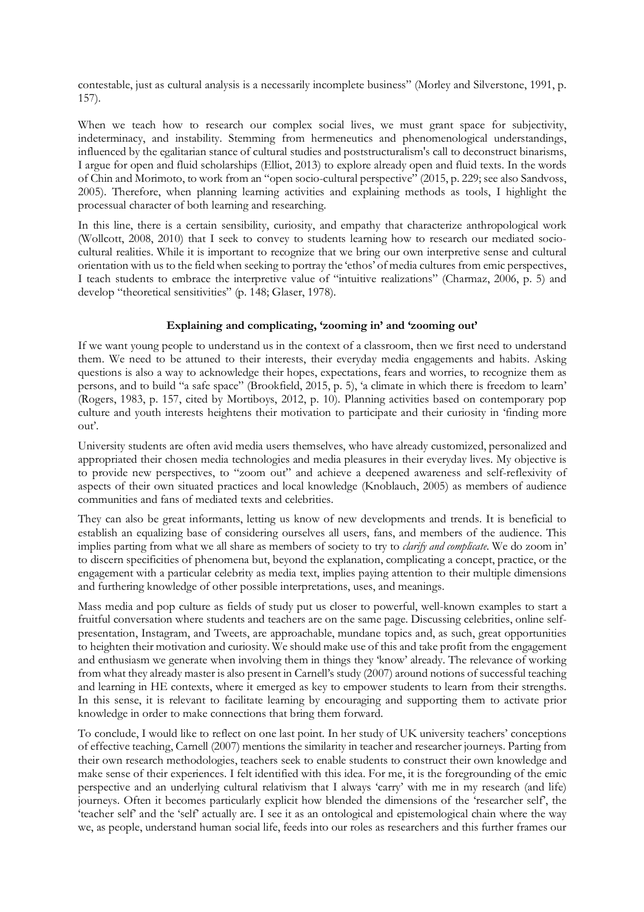contestable, just as cultural analysis is a necessarily incomplete business" (Morley and Silverstone, 1991, p. 157).

When we teach how to research our complex social lives, we must grant space for subjectivity, indeterminacy, and instability. Stemming from hermeneutics and phenomenological understandings, influenced by the egalitarian stance of cultural studies and poststructuralism's call to deconstruct binarisms, I argue for open and fluid scholarships (Elliot, 2013) to explore already open and fluid texts. In the words of Chin and Morimoto, to work from an "open socio-cultural perspective" (2015, p. 229; see also Sandvoss, 2005). Therefore, when planning learning activities and explaining methods as tools, I highlight the processual character of both learning and researching.

In this line, there is a certain sensibility, curiosity, and empathy that characterize anthropological work (Wollcott, 2008, 2010) that I seek to convey to students learning how to research our mediated sociocultural realities. While it is important to recognize that we bring our own interpretive sense and cultural orientation with us to the field when seeking to portray the 'ethos' of media cultures from emic perspectives, I teach students to embrace the interpretive value of "intuitive realizations" (Charmaz, 2006, p. 5) and develop "theoretical sensitivities" (p. 148; Glaser, 1978).

## **Explaining and complicating, 'zooming in' and 'zooming out'**

If we want young people to understand us in the context of a classroom, then we first need to understand them. We need to be attuned to their interests, their everyday media engagements and habits. Asking questions is also a way to acknowledge their hopes, expectations, fears and worries, to recognize them as persons, and to build "a safe space" (Brookfield, 2015, p. 5), 'a climate in which there is freedom to learn' (Rogers, 1983, p. 157, cited by Mortiboys, 2012, p. 10). Planning activities based on contemporary pop culture and youth interests heightens their motivation to participate and their curiosity in 'finding more out'.

University students are often avid media users themselves, who have already customized, personalized and appropriated their chosen media technologies and media pleasures in their everyday lives. My objective is to provide new perspectives, to "zoom out" and achieve a deepened awareness and self-reflexivity of aspects of their own situated practices and local knowledge (Knoblauch, 2005) as members of audience communities and fans of mediated texts and celebrities.

They can also be great informants, letting us know of new developments and trends. It is beneficial to establish an equalizing base of considering ourselves all users, fans, and members of the audience. This implies parting from what we all share as members of society to try to *clarify and complicate*. We do zoom in' to discern specificities of phenomena but, beyond the explanation, complicating a concept, practice, or the engagement with a particular celebrity as media text, implies paying attention to their multiple dimensions and furthering knowledge of other possible interpretations, uses, and meanings.

Mass media and pop culture as fields of study put us closer to powerful, well-known examples to start a fruitful conversation where students and teachers are on the same page. Discussing celebrities, online selfpresentation, Instagram, and Tweets, are approachable, mundane topics and, as such, great opportunities to heighten their motivation and curiosity. We should make use of this and take profit from the engagement and enthusiasm we generate when involving them in things they 'know' already. The relevance of working from what they already master is also present in Carnell's study (2007) around notions of successful teaching and learning in HE contexts, where it emerged as key to empower students to learn from their strengths. In this sense, it is relevant to facilitate learning by encouraging and supporting them to activate prior knowledge in order to make connections that bring them forward.

To conclude, I would like to reflect on one last point. In her study of UK university teachers' conceptions of effective teaching, Carnell (2007) mentions the similarity in teacher and researcher journeys. Parting from their own research methodologies, teachers seek to enable students to construct their own knowledge and make sense of their experiences. I felt identified with this idea. For me, it is the foregrounding of the emic perspective and an underlying cultural relativism that I always 'carry' with me in my research (and life) journeys. Often it becomes particularly explicit how blended the dimensions of the 'researcher self', the 'teacher self' and the 'self' actually are. I see it as an ontological and epistemological chain where the way we, as people, understand human social life, feeds into our roles as researchers and this further frames our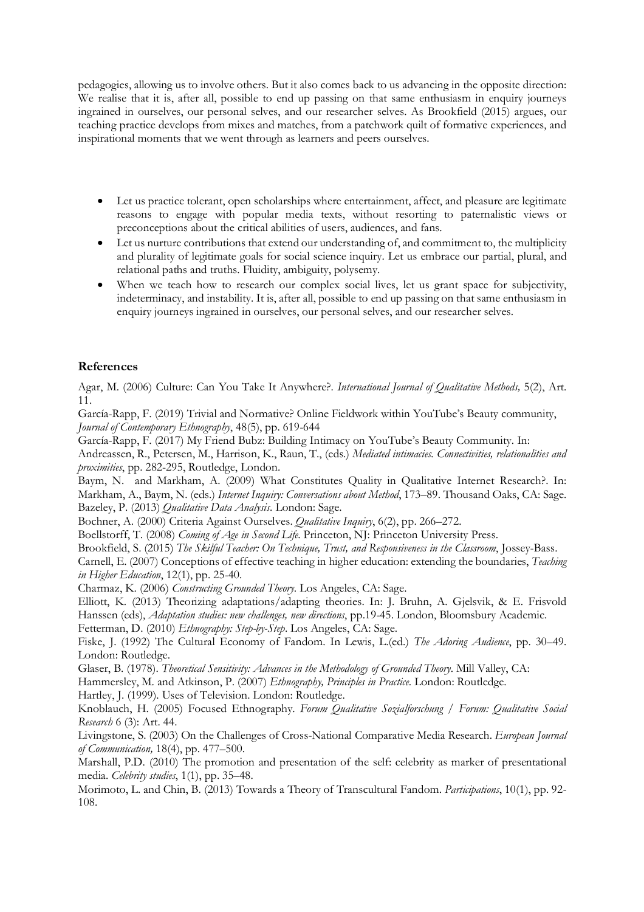pedagogies, allowing us to involve others. But it also comes back to us advancing in the opposite direction: We realise that it is, after all, possible to end up passing on that same enthusiasm in enquiry journeys ingrained in ourselves, our personal selves, and our researcher selves. As Brookfield (2015) argues, our teaching practice develops from mixes and matches, from a patchwork quilt of formative experiences, and inspirational moments that we went through as learners and peers ourselves.

- Let us practice tolerant, open scholarships where entertainment, affect, and pleasure are legitimate reasons to engage with popular media texts, without resorting to paternalistic views or preconceptions about the critical abilities of users, audiences, and fans.
- Let us nurture contributions that extend our understanding of, and commitment to, the multiplicity and plurality of legitimate goals for social science inquiry. Let us embrace our partial, plural, and relational paths and truths. Fluidity, ambiguity, polysemy.
- When we teach how to research our complex social lives, let us grant space for subjectivity, indeterminacy, and instability. It is, after all, possible to end up passing on that same enthusiasm in enquiry journeys ingrained in ourselves, our personal selves, and our researcher selves.

## **References**

Agar, M. (2006) Culture: Can You Take It Anywhere?. *International Journal of Qualitative Methods,* 5(2), Art. 11.

García-Rapp, F. (2019) Trivial and Normative? Online Fieldwork within YouTube's Beauty community, *Journal of Contemporary Ethnography*, 48(5), pp. 619-644

García-Rapp, F. (2017) My Friend Bubz: Building Intimacy on YouTube's Beauty Community. In:

Andreassen, R., Petersen, M., Harrison, K., Raun, T., (eds.) *Mediated intimacies. Connectivities, relationalities and proximities*, pp. 282-295, Routledge, London.

Baym, N. and Markham, A. (2009) What Constitutes Quality in Qualitative Internet Research?. In: Markham, A., Baym, N. (eds.) *Internet Inquiry: Conversations about Method*, 173–89. Thousand Oaks, CA: Sage. Bazeley, P. (2013) *Qualitative Data Analysis*. London: Sage.

Bochner, A. (2000) Criteria Against Ourselves. *Qualitative Inquiry*, 6(2), pp. 266–272.

Boellstorff, T. (2008) *Coming of Age in Second Life*. Princeton, NJ: Princeton University Press.

Brookfield, S. (2015) *The Skilful Teacher: On Technique, Trust, and Responsiveness in the Classroom*, Jossey-Bass.

Carnell, E. (2007) Conceptions of effective teaching in higher education: extending the boundaries, *Teaching in Higher Education*, 12(1), pp. 25-40.

Charmaz, K. (2006) *Constructing Grounded Theory*. Los Angeles, CA: Sage.

Elliott, K. (2013) Theorizing adaptations/adapting theories. In: J. Bruhn, A. Gjelsvik, & E. Frisvold Hanssen (eds), *Adaptation studies: new challenges, new directions*, pp.19-45. London, Bloomsbury Academic.

Fetterman, D. (2010) *Ethnography: Step-by-Step*. Los Angeles, CA: Sage.

Fiske, J. (1992) The Cultural Economy of Fandom. In Lewis, L.(ed.) *The Adoring Audience*, pp. 30–49. London: Routledge.

Glaser, B. (1978). *Theoretical Sensitivity: Advances in the Methodology of Grounded Theory*. Mill Valley, CA:

Hammersley, M. and Atkinson, P. (2007) *Ethnography, Principles in Practice*. London: Routledge.

Hartley, J. (1999). Uses of Television. London: Routledge.

Knoblauch, H. (2005) Focused Ethnography. *Forum Qualitative Sozialforschung / Forum: Qualitative Social Research* 6 (3): Art. 44.

Livingstone, S. (2003) On the Challenges of Cross-National Comparative Media Research. *European Journal of Communication,* 18(4), pp. 477–500.

Marshall, P.D. (2010) The promotion and presentation of the self: celebrity as marker of presentational media. *Celebrity studies*, 1(1), pp. 35–48.

Morimoto, L. and Chin, B. (2013) Towards a Theory of Transcultural Fandom. *Participations*, 10(1), pp. 92- 108.